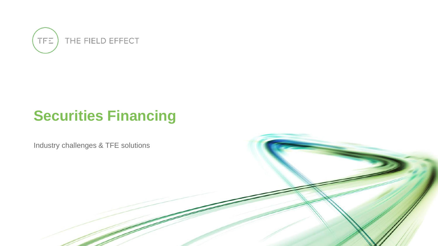

# **Securities Financing**

Industry challenges & TFE solutions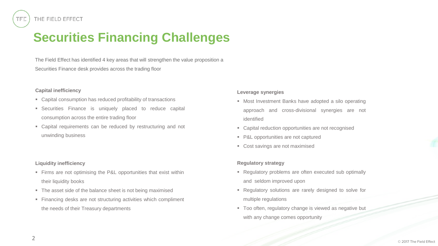## **Securities Financing Challenges**

The Field Effect has identified 4 key areas that will strengthen the value proposition a Securities Finance desk provides across the trading floor

#### **Capital inefficiency**

- Capital consumption has reduced profitability of transactions
- **EXECUTE:** Securities Finance is uniquely placed to reduce capital consumption across the entire trading floor
- Capital requirements can be reduced by restructuring and not unwinding business

#### **Liquidity inefficiency**

- **Example 1** Firms are not optimising the P&L opportunities that exist within their liquidity books
- The asset side of the balance sheet is not being maximised
- **Einancing desks are not structuring activities which compliment** the needs of their Treasury departments

#### **Leverage synergies**

- Most Investment Banks have adopted a silo operating approach and cross-divisional synergies are not identified
- Capital reduction opportunities are not recognised
- P&L opportunities are not captured
- Cost savings are not maximised

#### **Regulatory strategy**

- Regulatory problems are often executed sub optimally and seldom improved upon
- Regulatory solutions are rarely designed to solve for multiple regulations
- Too often, regulatory change is viewed as negative but with any change comes opportunity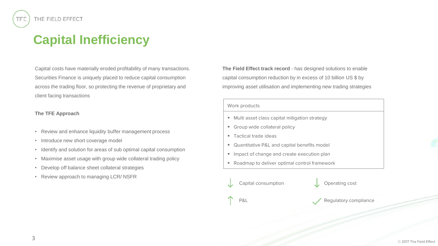TFE

### **Capital Inefficiency**

Capital costs have materially eroded profitability of many transactions. Securities Finance is uniquely placed to reduce capital consumption across the trading floor, so protecting the revenue of proprietary and client facing transactions

#### **The TFE Approach**

- Review and enhance liquidity buffer management process
- Introduce new short coverage model
- Identify and solution for areas of sub optimal capital consumption
- Maximise asset usage with group wide collateral trading policy
- Develop off balance sheet collateral strategies
- Review approach to managing LCR/ NSFR

**The Field Effect track record** - has designed solutions to enable capital consumption reduction by in excess of 10 billion US \$ by improving asset utilisation and implementing new trading strategies

#### Work products

- Multi asset class capital mitigation strategy
- Group wide collateral policy
- Tactical trade ideas
- Quantitative P&L and capital benefits model
- **Inpact of change and create execution plan**
- Roadmap to deliver optimal control framework

Capital consumption Capital consumption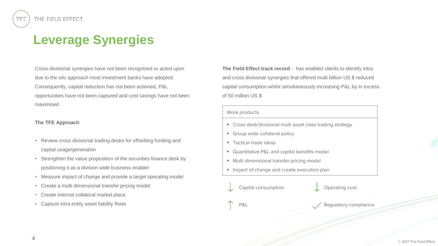### **Leverage Synergies**

Cross-divisional synergies have not been recognised or acted upon due to the silo approach most investment banks have adopted. Consequently, capital reduction has not been actioned, P&L opportunities have not been captured and cost savings have not been maximised

#### **The TFE Approach**

- Review cross divisional trading desks for offsetting funding and capital usage/generation
- Strengthen the value proposition of the securities finance desk by positioning it as a division wide business enabler
- Measure impact of change and provide a target operating model
- Create a multi dimensional transfer pricing model
- Create internal collateral market place
- Capture intra entity asset liability flows

**The Field Effect track record** - has enabled clients to identify intra and cross divisional synergies that offered multi billion US \$ reduced capital consumption whilst simultaneously increasing P&L by in excess of 50 million US \$

#### Work products

- Cross desk/divisional multi asset class trading strategy
- Group wide collateral policy
- Tactical trade ideas
- Quantitative P&L and capital benefits model
- Multi dimensional transfer pricing model
- **Inpact of change and create execution plan** 
	- Capital consumption Capital Consumption

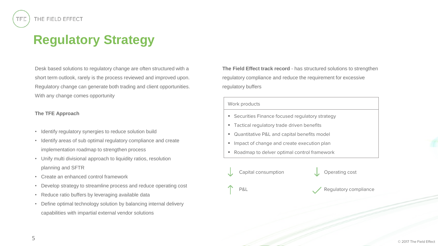## **Regulatory Strategy**

Desk based solutions to regulatory change are often structured with a short term outlook, rarely is the process reviewed and improved upon. Regulatory change can generate both trading and client opportunities. With any change comes opportunity

#### **The TFE Approach**

- Identify regulatory synergies to reduce solution build
- Identify areas of sub optimal regulatory compliance and create implementation roadmap to strengthen process
- Unify multi divisional approach to liquidity ratios, resolution planning and SFTR
- Create an enhanced control framework
- Develop strategy to streamline process and reduce operating cost
- Reduce ratio buffers by leveraging available data
- Define optimal technology solution by balancing internal delivery capabilities with impartial external vendor solutions

**The Field Effect track record** - has structured solutions to strengthen regulatory compliance and reduce the requirement for excessive regulatory buffers

#### Work products

- **EXECUTE SECUTE SET IS SECUTED:** Securities Finance focused requlatory strategy
- Tactical regulatory trade driven benefits
- Quantitative P&L and capital benefits model
- **■** Impact of change and create execution plan
- Roadmap to delver optimal control framework

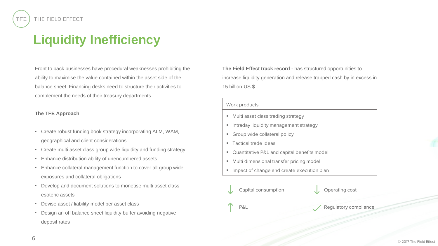## **Liquidity Inefficiency**

Front to back businesses have procedural weaknesses prohibiting the ability to maximise the value contained within the asset side of the balance sheet. Financing desks need to structure their activities to complement the needs of their treasury departments

#### **The TFE Approach**

- Create robust funding book strategy incorporating ALM, WAM, geographical and client considerations
- Create multi asset class group wide liquidity and funding strategy
- Enhance distribution ability of unencumbered assets
- Enhance collateral management function to cover all group wide exposures and collateral obligations
- Develop and document solutions to monetise multi asset class esoteric assets
- Devise asset / liability model per asset class
- Design an off balance sheet liquidity buffer avoiding negative deposit rates

**The Field Effect track record** - has structured opportunities to increase liquidity generation and release trapped cash by in excess in 15 billion US \$

#### Work products

- Multi asset class trading strategy
- **E** Intraday liquidity management strategy
- **Group wide collateral policy**
- Tactical trade ideas
- Quantitative P&L and capital benefits model
- Multi dimensional transfer pricing model
- **Inpact of change and create execution plan**



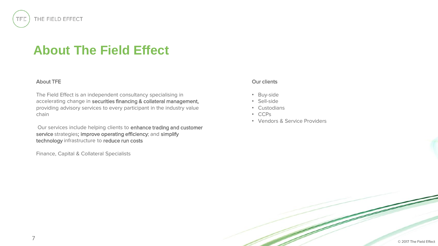### **About The Field Effect**

#### About TFE

THE FIELD EFFECT

TFE

The Field Effect is an independent consultancy specialising in accelerating change in securities financing & collateral management, providing advisory services to every participant in the industry value chain

Our services include helping clients to enhance trading and customer service strategies; improve operating efficiency; and simplify technology infrastructure to reduce run costs

Finance, Capital & Collateral Specialists

#### Our clients

- Buy-side
- Sell-side
- Custodians
- CCPs
- Vendors & Service Providers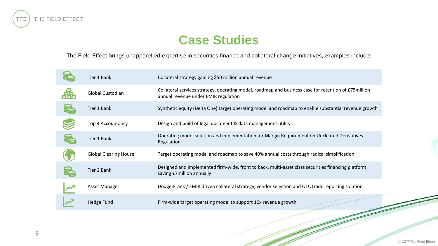

### **Case Studies**

The Field Effect brings unapparelled expertise in securities finance and collateral change initiatives, examples include:

|                          | Tier 1 Bank                  | Collateral strategy gaining \$50 million annual revenue                                                                                       |
|--------------------------|------------------------------|-----------------------------------------------------------------------------------------------------------------------------------------------|
|                          | <b>Global Custodian</b>      | Collateral services strategy, operating model, roadmap and business case for retention of £75 million<br>annual revenue under EMIR regulation |
|                          | Tier 1 Bank                  | Synthetic equity (Delta One) target operating model and roadmap to enable substantial revenue growth                                          |
|                          | Top 4 Accountancy            | Design and build of legal document & data management utility                                                                                  |
| <b>The Second Second</b> | Tier 1 Bank                  | Operating model solution and implementation for Margin Requirement on Uncleared Derivatives<br>Regulation                                     |
|                          | <b>Global Clearing House</b> | Target operating model and roadmap to save 40% annual costs through radical simplification                                                    |
|                          | Tier 2 Bank                  | Designed and implemented firm-wide, front to back, multi-asset class securities financing platform,<br>saving €7million annually              |
|                          | Asset Manager                | Dodge-Frank / EMIR driven collateral strategy, vendor selection and OTC trade reporting solution                                              |
|                          | Hedge Fund                   | Firm-wide target operating model to support 10x revenue growth                                                                                |